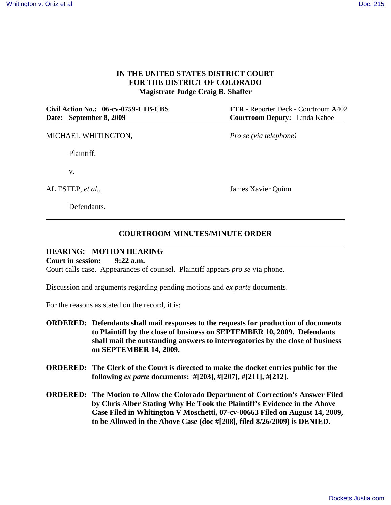## **IN THE UNITED STATES DISTRICT COURT FOR THE DISTRICT OF COLORADO Magistrate Judge Craig B. Shaffer**

**Civil Action No.: 06-cv-0759-LTB-CBS FTR** - Reporter Deck - Courtroom A402 **Date: September 8, 2009 Courtroom Deputy:** Linda Kahoe

MICHAEL WHITINGTON, *Pro se (via telephone)*

Plaintiff,

v.

Defendants.

AL ESTEP, *et al.,* James Xavier Quinn

## **COURTROOM MINUTES/MINUTE ORDER**

## **HEARING: MOTION HEARING**

**Court in session: 9:22 a.m.**

Court calls case. Appearances of counsel. Plaintiff appears *pro se* via phone.

Discussion and arguments regarding pending motions and *ex parte* documents.

For the reasons as stated on the record, it is:

- **ORDERED: Defendants shall mail responses to the requests for production of documents to Plaintiff by the close of business on SEPTEMBER 10, 2009. Defendants shall mail the outstanding answers to interrogatories by the close of business on SEPTEMBER 14, 2009.**
- **ORDERED: The Clerk of the Court is directed to make the docket entries public for the following** *ex parte* **documents: #[203], #[207], #[211], #[212].**
- **ORDERED: The Motion to Allow the Colorado Department of Correction's Answer Filed by Chris Alber Stating Why He Took the Plaintiff's Evidence in the Above Case Filed in Whitington V Moschetti, 07-cv-00663 Filed on August 14, 2009, to be Allowed in the Above Case (doc #[208], filed 8/26/2009) is DENIED.**